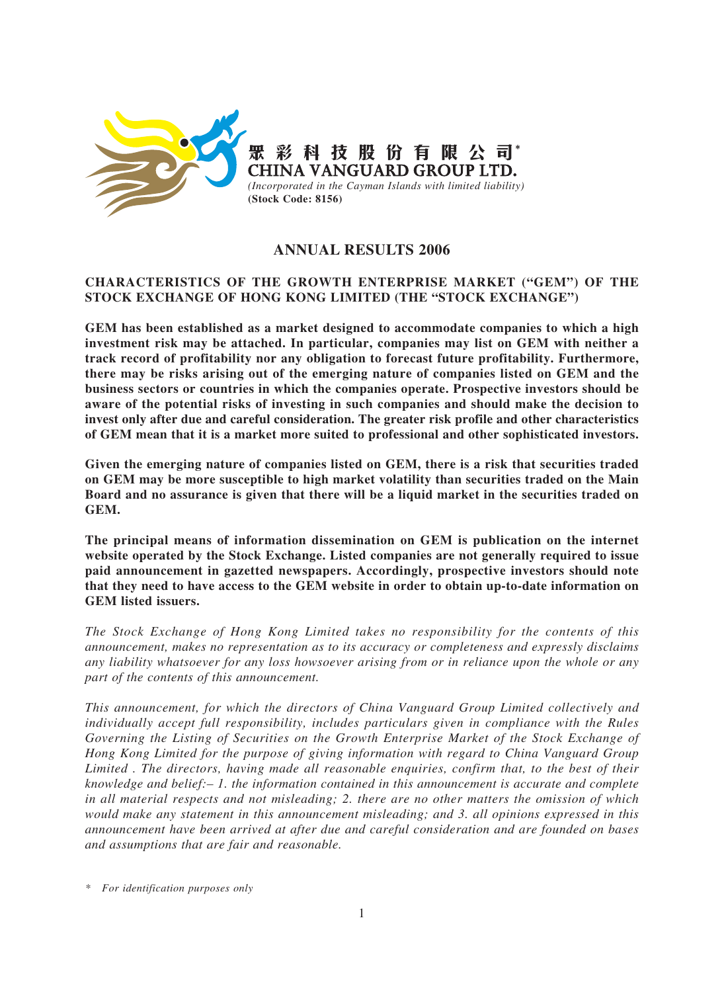

# **ANNUAL RESULTS 2006**

# **CHARACTERISTICS OF THE GROWTH ENTERPRISE MARKET ("GEM") OF THE STOCK EXCHANGE OF HONG KONG LIMITED (THE "STOCK EXCHANGE")**

**GEM has been established as a market designed to accommodate companies to which a high investment risk may be attached. In particular, companies may list on GEM with neither a track record of profitability nor any obligation to forecast future profitability. Furthermore, there may be risks arising out of the emerging nature of companies listed on GEM and the business sectors or countries in which the companies operate. Prospective investors should be aware of the potential risks of investing in such companies and should make the decision to invest only after due and careful consideration. The greater risk profile and other characteristics of GEM mean that it is a market more suited to professional and other sophisticated investors.**

**Given the emerging nature of companies listed on GEM, there is a risk that securities traded on GEM may be more susceptible to high market volatility than securities traded on the Main Board and no assurance is given that there will be a liquid market in the securities traded on GEM.**

**The principal means of information dissemination on GEM is publication on the internet website operated by the Stock Exchange. Listed companies are not generally required to issue paid announcement in gazetted newspapers. Accordingly, prospective investors should note that they need to have access to the GEM website in order to obtain up-to-date information on GEM listed issuers.**

*The Stock Exchange of Hong Kong Limited takes no responsibility for the contents of this announcement, makes no representation as to its accuracy or completeness and expressly disclaims any liability whatsoever for any loss howsoever arising from or in reliance upon the whole or any part of the contents of this announcement.*

*This announcement, for which the directors of China Vanguard Group Limited collectively and individually accept full responsibility, includes particulars given in compliance with the Rules Governing the Listing of Securities on the Growth Enterprise Market of the Stock Exchange of Hong Kong Limited for the purpose of giving information with regard to China Vanguard Group Limited . The directors, having made all reasonable enquiries, confirm that, to the best of their knowledge and belief:– 1. the information contained in this announcement is accurate and complete in all material respects and not misleading; 2. there are no other matters the omission of which would make any statement in this announcement misleading; and 3. all opinions expressed in this announcement have been arrived at after due and careful consideration and are founded on bases and assumptions that are fair and reasonable.*

*\* For identification purposes only*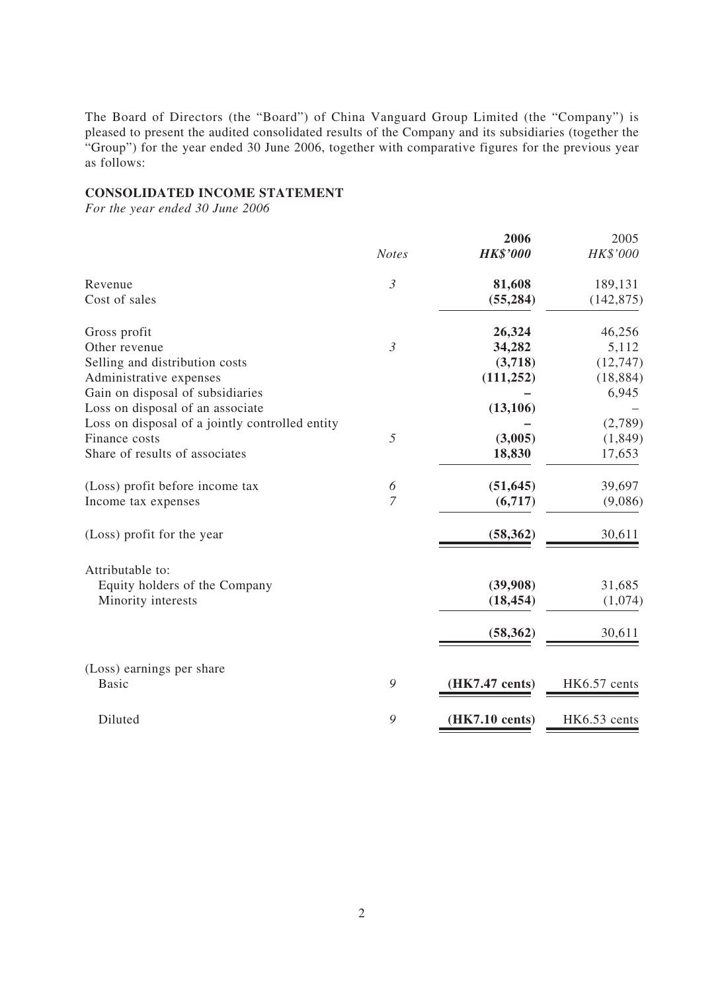The Board of Directors (the "Board") of China Vanguard Group Limited (the "Company") is pleased to present the audited consolidated results of the Company and its subsidiaries (together the "Group") for the year ended 30 June 2006, together with comparative figures for the previous year as follows:

### **CONSOLIDATED INCOME STATEMENT**

*For the year ended 30 June 2006*

|                                                 | <b>Notes</b>   | 2006<br><b>HK\$'000</b> | 2005<br>HK\$'000 |
|-------------------------------------------------|----------------|-------------------------|------------------|
|                                                 |                |                         |                  |
| Revenue                                         | $\mathfrak{Z}$ | 81,608                  | 189,131          |
| Cost of sales                                   |                | (55, 284)               | (142, 875)       |
| Gross profit                                    |                | 26,324                  | 46,256           |
| Other revenue                                   | $\mathfrak{Z}$ | 34,282                  | 5,112            |
| Selling and distribution costs                  |                | (3,718)                 | (12, 747)        |
| Administrative expenses                         |                | (111, 252)              | (18, 884)        |
| Gain on disposal of subsidiaries                |                |                         | 6,945            |
| Loss on disposal of an associate                |                | (13, 106)               |                  |
| Loss on disposal of a jointly controlled entity |                |                         | (2,789)          |
| Finance costs                                   | 5              | (3,005)                 | (1, 849)         |
| Share of results of associates                  |                | 18,830                  | 17,653           |
| (Loss) profit before income tax                 | 6              | (51, 645)               | 39,697           |
| Income tax expenses                             | $\overline{7}$ | (6,717)                 | (9,086)          |
| (Loss) profit for the year                      |                | (58, 362)               | 30,611           |
| Attributable to:                                |                |                         |                  |
| Equity holders of the Company                   |                | (39,908)                | 31,685           |
| Minority interests                              |                | (18, 454)               | (1,074)          |
|                                                 |                | (58, 362)               | 30,611           |
|                                                 |                |                         |                  |
| (Loss) earnings per share                       |                |                         |                  |
| <b>Basic</b>                                    | 9              | (HK7.47 cents)          | HK6.57 cents     |
| Diluted                                         | 9              | (HK7.10 cents)          | HK6.53 cents     |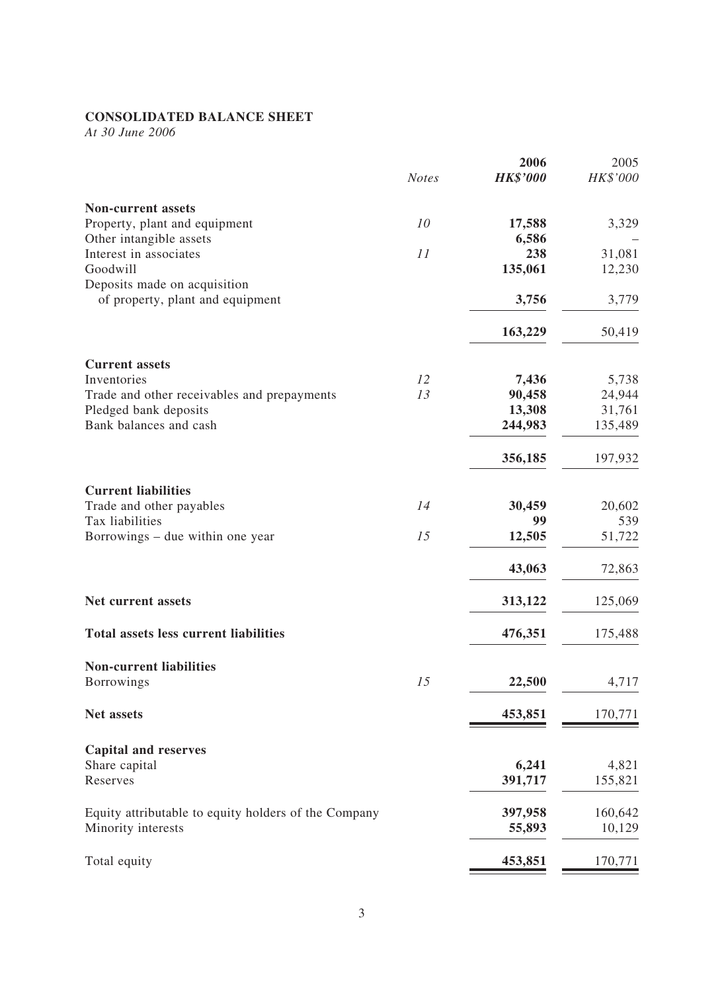# **CONSOLIDATED BALANCE SHEET**

*At 30 June 2006*

|                                                      | <b>Notes</b> | 2006<br><b>HK\$'000</b> | 2005<br>HK\$'000 |
|------------------------------------------------------|--------------|-------------------------|------------------|
| <b>Non-current assets</b>                            |              |                         |                  |
| Property, plant and equipment                        | 10           | 17,588                  | 3,329            |
| Other intangible assets                              |              | 6,586                   |                  |
| Interest in associates                               | 11           | 238                     | 31,081           |
| Goodwill                                             |              | 135,061                 | 12,230           |
| Deposits made on acquisition                         |              |                         |                  |
| of property, plant and equipment                     |              | 3,756                   | 3,779            |
|                                                      |              | 163,229                 | 50,419           |
| <b>Current assets</b>                                |              |                         |                  |
| Inventories                                          | 12           | 7,436                   | 5,738            |
| Trade and other receivables and prepayments          | 13           | 90,458                  | 24,944           |
| Pledged bank deposits                                |              | 13,308                  | 31,761           |
| Bank balances and cash                               |              | 244,983                 | 135,489          |
|                                                      |              | 356,185                 | 197,932          |
| <b>Current liabilities</b>                           |              |                         |                  |
| Trade and other payables                             | 14           | 30,459                  | 20,602           |
| Tax liabilities                                      |              | 99                      | 539              |
| Borrowings – due within one year                     | 15           | 12,505                  | 51,722           |
|                                                      |              | 43,063                  | 72,863           |
|                                                      |              |                         |                  |
| Net current assets                                   |              | 313,122                 | 125,069          |
| <b>Total assets less current liabilities</b>         |              | 476,351                 | 175,488          |
| <b>Non-current liabilities</b>                       |              |                         |                  |
| Borrowings                                           | 15           | 22,500                  | 4,717            |
| Net assets                                           |              | 453,851                 | 170,771          |
| <b>Capital and reserves</b>                          |              |                         |                  |
| Share capital                                        |              | 6,241                   | 4,821            |
| Reserves                                             |              | 391,717                 | 155,821          |
|                                                      |              |                         |                  |
| Equity attributable to equity holders of the Company |              | 397,958                 | 160,642          |
| Minority interests                                   |              | 55,893                  | 10,129           |
| Total equity                                         |              | 453,851                 | 170,771          |
|                                                      |              |                         |                  |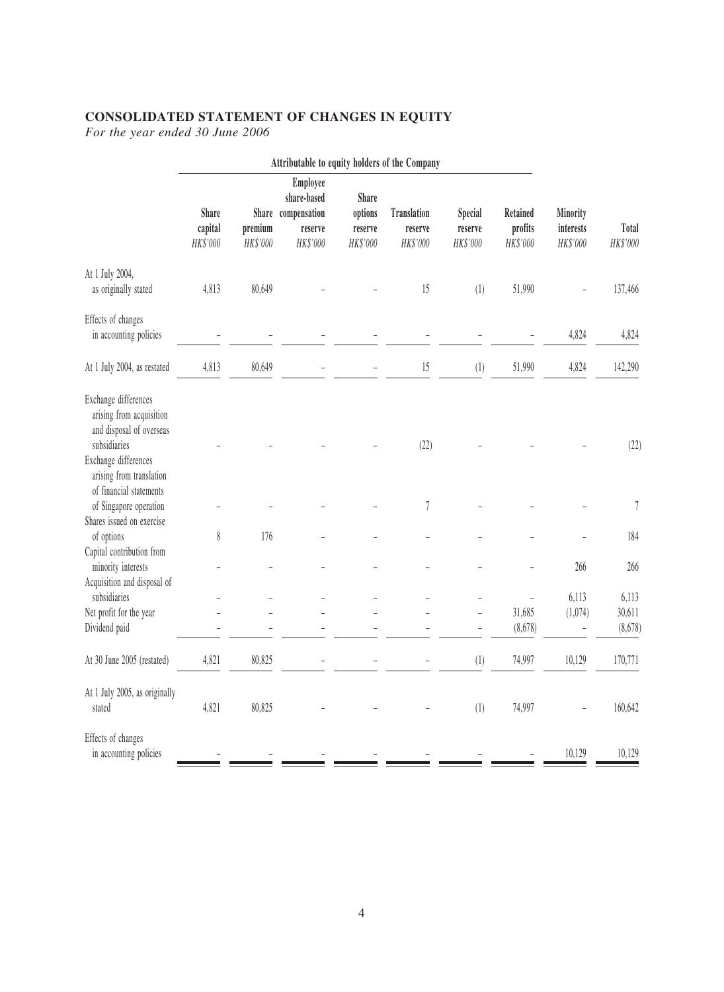# **CONSOLIDATED STATEMENT OF CHANGES IN EQUITY**

*For the year ended 30 June 2006*

|                                                                                                                                                                             |                                     |                     | Attributable to equity holders of the Company                                 |                                                  |                                           |                                       |                                 |                                          |                            |
|-----------------------------------------------------------------------------------------------------------------------------------------------------------------------------|-------------------------------------|---------------------|-------------------------------------------------------------------------------|--------------------------------------------------|-------------------------------------------|---------------------------------------|---------------------------------|------------------------------------------|----------------------------|
|                                                                                                                                                                             | <b>Share</b><br>capital<br>HK\$'000 | premium<br>HK\$'000 | <b>Employee</b><br>share-based<br>Share compensation<br>reserve<br>$HK\$'000$ | <b>Share</b><br>options<br>reserve<br>$HK\$'000$ | <b>Translation</b><br>reserve<br>HK\$'000 | <b>Special</b><br>reserve<br>HK\$'000 | Retained<br>profits<br>HK\$'000 | <b>Minority</b><br>interests<br>HK\$'000 | Total<br>$HK\$'000$        |
| At 1 July 2004,<br>as originally stated                                                                                                                                     | 4,813                               | 80,649              |                                                                               |                                                  | 15                                        | (1)                                   | 51,990                          |                                          | 137,466                    |
| Effects of changes<br>in accounting policies                                                                                                                                |                                     |                     |                                                                               |                                                  |                                           |                                       |                                 | 4,824                                    | 4,824                      |
| At 1 July 2004, as restated                                                                                                                                                 | 4,813                               | 80,649              |                                                                               |                                                  | 15                                        | (1)                                   | 51,990                          | 4,824                                    | 142,290                    |
| Exchange differences<br>arising from acquisition<br>and disposal of overseas<br>subsidiaries<br>Exchange differences<br>arising from translation<br>of financial statements |                                     |                     |                                                                               |                                                  | (22)                                      |                                       |                                 |                                          | (22)                       |
| of Singapore operation<br>Shares issued on exercise                                                                                                                         |                                     |                     |                                                                               |                                                  | $\sqrt{ }$                                |                                       |                                 |                                          | $\boldsymbol{7}$           |
| of options<br>Capital contribution from                                                                                                                                     | 8                                   | 176                 |                                                                               |                                                  |                                           |                                       |                                 |                                          | 184                        |
| minority interests<br>Acquisition and disposal of                                                                                                                           |                                     |                     |                                                                               |                                                  |                                           |                                       |                                 | 266                                      | 266                        |
| subsidiaries<br>Net profit for the year<br>Dividend paid                                                                                                                    |                                     |                     |                                                                               |                                                  |                                           | $\overline{\phantom{0}}$              | 31,685<br>(8,678)               | 6,113<br>(1,074)                         | 6,113<br>30,611<br>(8,678) |
| At 30 June 2005 (restated)                                                                                                                                                  | 4,821                               | 80,825              |                                                                               |                                                  |                                           | (1)                                   | 74,997                          | 10,129                                   | 170,771                    |
| At 1 July 2005, as originally<br>stated                                                                                                                                     | 4,821                               | 80,825              |                                                                               |                                                  |                                           | (1)                                   | 74,997                          |                                          | 160,642                    |
| Effects of changes<br>in accounting policies                                                                                                                                |                                     |                     |                                                                               |                                                  |                                           |                                       |                                 | 10,129                                   | 10,129                     |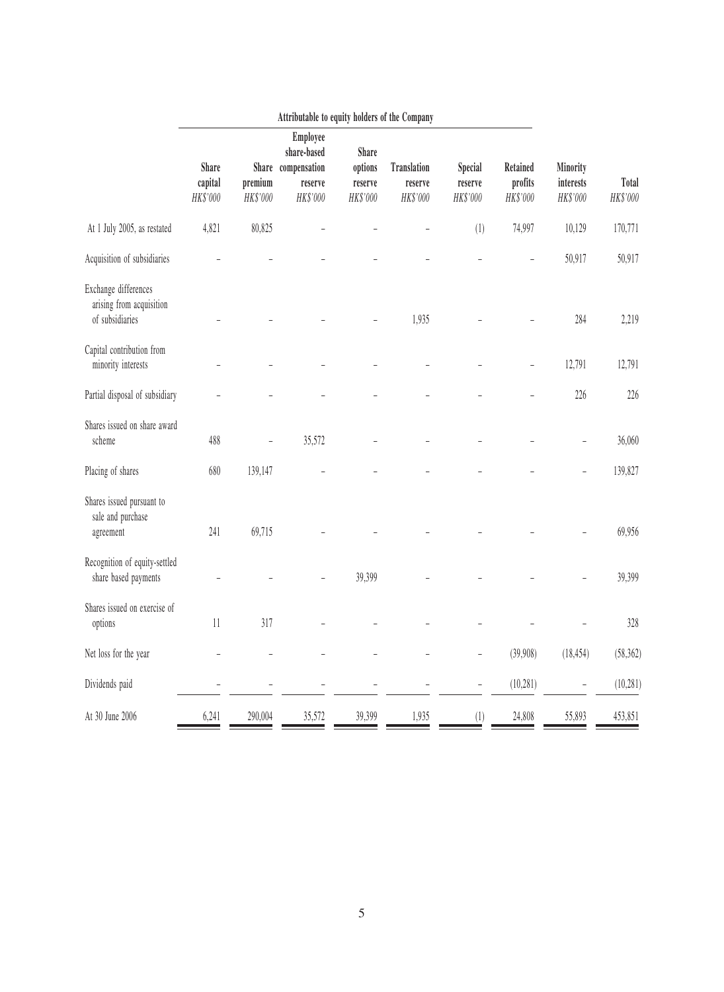|                                                                     |                                     |                     | Attributable to equity holders of the Company                        |                                                |                                           |                                |                                 |                                   |                     |
|---------------------------------------------------------------------|-------------------------------------|---------------------|----------------------------------------------------------------------|------------------------------------------------|-------------------------------------------|--------------------------------|---------------------------------|-----------------------------------|---------------------|
|                                                                     | <b>Share</b><br>capital<br>HK\$'000 | premium<br>HK\$'000 | Employee<br>share-based<br>Share compensation<br>reserve<br>HK\$'000 | <b>Share</b><br>options<br>reserve<br>HK\$'000 | <b>Translation</b><br>reserve<br>HK\$'000 | Special<br>reserve<br>HK\$'000 | Retained<br>profits<br>HK\$'000 | Minority<br>interests<br>HK\$'000 | Total<br>$HK\$'000$ |
| At 1 July 2005, as restated                                         | 4,821                               | 80,825              |                                                                      |                                                |                                           | (1)                            | 74,997                          | 10,129                            | 170,771             |
| Acquisition of subsidiaries                                         |                                     |                     |                                                                      |                                                |                                           |                                |                                 | 50,917                            | 50,917              |
| Exchange differences<br>arising from acquisition<br>of subsidiaries |                                     |                     |                                                                      |                                                | 1,935                                     |                                |                                 | 284                               | 2,219               |
| Capital contribution from<br>minority interests                     |                                     |                     |                                                                      |                                                |                                           |                                | $\overline{\phantom{0}}$        | 12,791                            | 12,791              |
| Partial disposal of subsidiary                                      |                                     |                     |                                                                      |                                                |                                           |                                |                                 | 226                               | 226                 |
| Shares issued on share award<br>scheme                              | 488                                 | $\overline{a}$      | 35,572                                                               |                                                |                                           |                                |                                 |                                   | 36,060              |
| Placing of shares                                                   | 680                                 | 139,147             |                                                                      |                                                |                                           |                                |                                 |                                   | 139,827             |
| Shares issued pursuant to<br>sale and purchase<br>agreement         | 241                                 | 69,715              |                                                                      |                                                |                                           |                                |                                 |                                   | 69,956              |
| Recognition of equity-settled<br>share based payments               |                                     |                     |                                                                      | 39,399                                         |                                           |                                |                                 |                                   | 39,399              |
| Shares issued on exercise of<br>options                             | $11\,$                              | $317\,$             |                                                                      |                                                |                                           |                                |                                 |                                   | $328\,$             |
| Net loss for the year                                               |                                     |                     |                                                                      |                                                | $\overline{\phantom{0}}$                  | $\overline{\phantom{a}}$       | (39,908)                        | (18, 454)                         | (58, 362)           |
| Dividends paid                                                      | $\overline{\phantom{0}}$            |                     |                                                                      |                                                |                                           | $\qquad \qquad -$              | (10, 281)                       | $\overline{a}$                    | (10, 281)           |
| At 30 June 2006                                                     | 6,241                               | 290,004             | 35,572                                                               | 39,399                                         | 1,935                                     | (1)                            | 24,808                          | 55,893                            | 453,851             |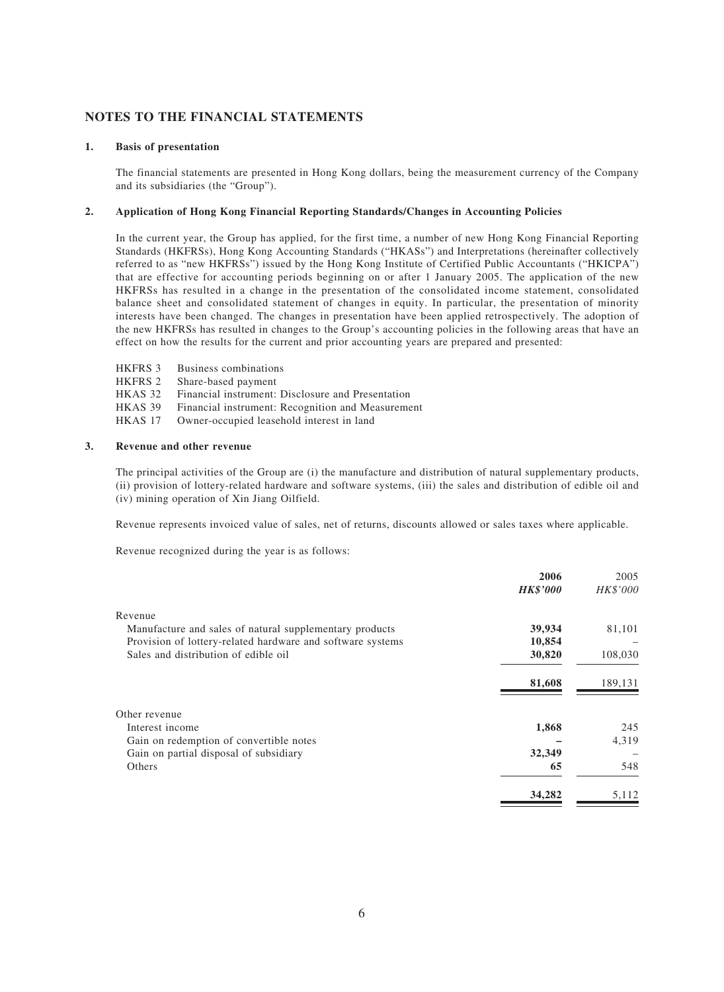# **NOTES TO THE FINANCIAL STATEMENTS**

#### **1. Basis of presentation**

The financial statements are presented in Hong Kong dollars, being the measurement currency of the Company and its subsidiaries (the "Group").

#### **2. Application of Hong Kong Financial Reporting Standards/Changes in Accounting Policies**

In the current year, the Group has applied, for the first time, a number of new Hong Kong Financial Reporting Standards (HKFRSs), Hong Kong Accounting Standards ("HKASs") and Interpretations (hereinafter collectively referred to as "new HKFRSs") issued by the Hong Kong Institute of Certified Public Accountants ("HKICPA") that are effective for accounting periods beginning on or after 1 January 2005. The application of the new HKFRSs has resulted in a change in the presentation of the consolidated income statement, consolidated balance sheet and consolidated statement of changes in equity. In particular, the presentation of minority interests have been changed. The changes in presentation have been applied retrospectively. The adoption of the new HKFRSs has resulted in changes to the Group's accounting policies in the following areas that have an effect on how the results for the current and prior accounting years are prepared and presented:

- HKFRS 3 Business combinations
- HKFRS 2 Share-based payment
- HKAS 32 Financial instrument: Disclosure and Presentation
- HKAS 39 Financial instrument: Recognition and Measurement
- HKAS 17 Owner-occupied leasehold interest in land

#### **3. Revenue and other revenue**

The principal activities of the Group are (i) the manufacture and distribution of natural supplementary products, (ii) provision of lottery-related hardware and software systems, (iii) the sales and distribution of edible oil and (iv) mining operation of Xin Jiang Oilfield.

Revenue represents invoiced value of sales, net of returns, discounts allowed or sales taxes where applicable.

Revenue recognized during the year is as follows:

|                                                            | 2006            | 2005     |
|------------------------------------------------------------|-----------------|----------|
|                                                            | <b>HK\$'000</b> | HK\$'000 |
| Revenue                                                    |                 |          |
| Manufacture and sales of natural supplementary products    | 39,934          | 81,101   |
| Provision of lottery-related hardware and software systems | 10,854          |          |
| Sales and distribution of edible oil                       | 30,820          | 108,030  |
|                                                            | 81,608          | 189,131  |
| Other revenue                                              |                 |          |
| Interest income                                            | 1,868           | 245      |
| Gain on redemption of convertible notes                    |                 | 4,319    |
| Gain on partial disposal of subsidiary                     | 32,349          |          |
| Others                                                     | 65              | 548      |
|                                                            | 34,282          | 5,112    |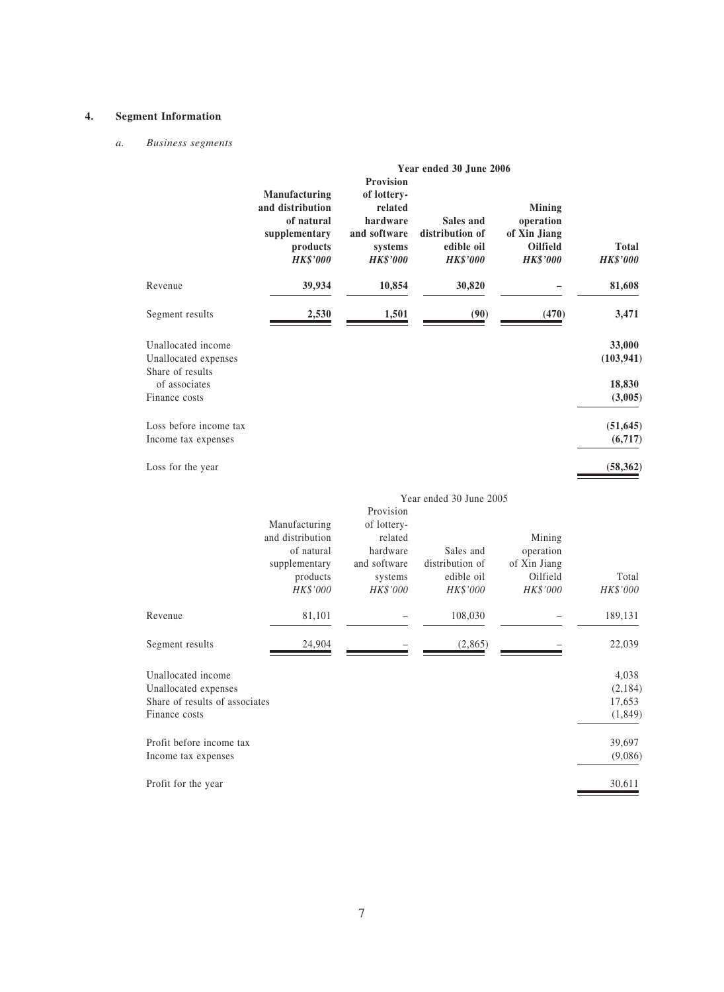#### **4. Segment Information**

#### *a. Business segments*

|                                                                                               |                                                                                                 |                                                                                               | Year ended 30 June 2006                                       |                                                                           |                                       |
|-----------------------------------------------------------------------------------------------|-------------------------------------------------------------------------------------------------|-----------------------------------------------------------------------------------------------|---------------------------------------------------------------|---------------------------------------------------------------------------|---------------------------------------|
|                                                                                               | Manufacturing<br>and distribution<br>of natural<br>supplementary<br>products<br><b>HK\$'000</b> | Provision<br>of lottery-<br>related<br>hardware<br>and software<br>systems<br><b>HK\$'000</b> | Sales and<br>distribution of<br>edible oil<br><b>HK\$'000</b> | <b>Mining</b><br>operation<br>of Xin Jiang<br>Oilfield<br><b>HK\$'000</b> | <b>Total</b><br><b>HK\$'000</b>       |
| Revenue                                                                                       | 39,934                                                                                          | 10,854                                                                                        | 30,820                                                        |                                                                           | 81,608                                |
| Segment results                                                                               | 2,530                                                                                           | 1,501                                                                                         | (90)                                                          | (470)                                                                     | 3,471                                 |
| Unallocated income<br>Unallocated expenses<br>Share of results                                |                                                                                                 |                                                                                               |                                                               |                                                                           | 33,000<br>(103, 941)                  |
| of associates<br>Finance costs                                                                |                                                                                                 |                                                                                               |                                                               |                                                                           | 18,830<br>(3,005)                     |
| Loss before income tax<br>Income tax expenses                                                 |                                                                                                 |                                                                                               |                                                               |                                                                           | (51, 645)<br>(6,717)                  |
| Loss for the year                                                                             |                                                                                                 |                                                                                               |                                                               |                                                                           | (58, 362)                             |
|                                                                                               | Manufacturing<br>and distribution<br>of natural                                                 | Provision<br>of lottery-<br>related<br>hardware                                               | Year ended 30 June 2005<br>Sales and                          | Mining<br>operation                                                       |                                       |
|                                                                                               | supplementary<br>products<br>HK\$'000                                                           | and software<br>systems<br>HK\$'000                                                           | distribution of<br>edible oil<br>HK\$'000                     | of Xin Jiang<br>Oilfield<br>HK\$'000                                      | Total<br>HK\$'000                     |
| Revenue                                                                                       | 81,101                                                                                          |                                                                                               | 108,030                                                       |                                                                           | 189,131                               |
| Segment results                                                                               | 24,904                                                                                          |                                                                                               | (2,865)                                                       |                                                                           | 22,039                                |
| Unallocated income<br>Unallocated expenses<br>Share of results of associates<br>Finance costs |                                                                                                 |                                                                                               |                                                               |                                                                           | 4,038<br>(2,184)<br>17,653<br>(1,849) |
| Profit before income tax<br>Income tax expenses                                               |                                                                                                 |                                                                                               |                                                               |                                                                           | 39,697<br>(9,086)                     |
| Profit for the year                                                                           |                                                                                                 |                                                                                               |                                                               |                                                                           | 30,611                                |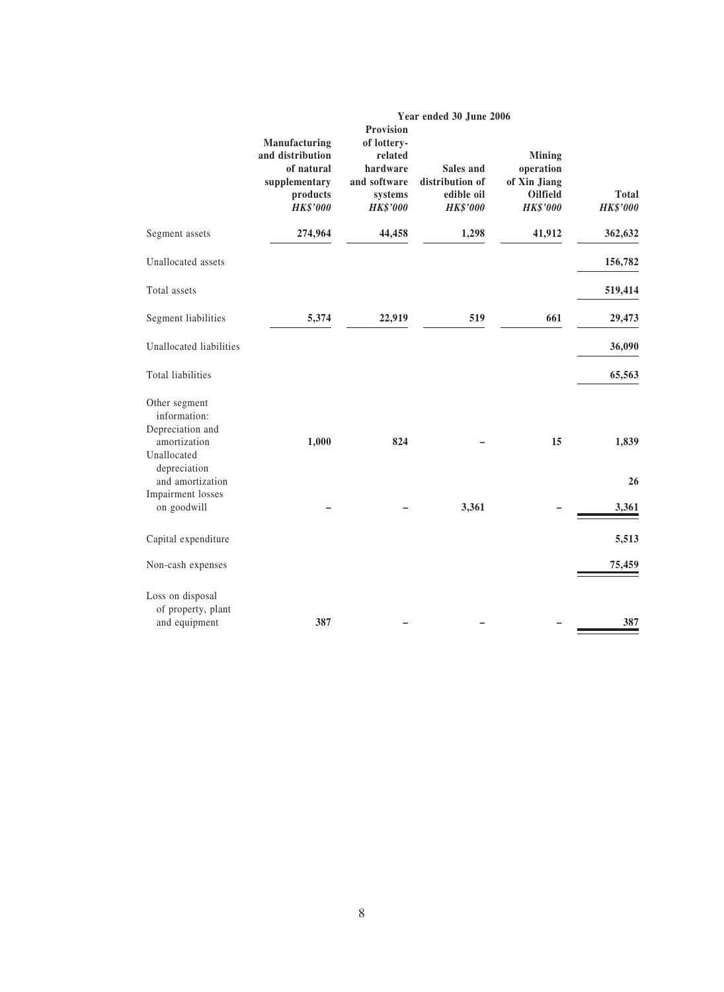|                                                                                  |                                                                                                 | Year ended 30 June 2006                                                                       |                                                               |                                                                           |                                 |  |  |
|----------------------------------------------------------------------------------|-------------------------------------------------------------------------------------------------|-----------------------------------------------------------------------------------------------|---------------------------------------------------------------|---------------------------------------------------------------------------|---------------------------------|--|--|
|                                                                                  | Manufacturing<br>and distribution<br>of natural<br>supplementary<br>products<br><b>HK\$'000</b> | Provision<br>of lottery-<br>related<br>hardware<br>and software<br>systems<br><b>HK\$'000</b> | Sales and<br>distribution of<br>edible oil<br><b>HK\$'000</b> | <b>Mining</b><br>operation<br>of Xin Jiang<br>Oilfield<br><b>HK\$'000</b> | <b>Total</b><br><b>HK\$'000</b> |  |  |
| Segment assets                                                                   | 274,964                                                                                         | 44,458                                                                                        | 1,298                                                         | 41,912                                                                    | 362,632                         |  |  |
| Unallocated assets                                                               |                                                                                                 |                                                                                               |                                                               |                                                                           | 156,782                         |  |  |
| Total assets                                                                     |                                                                                                 |                                                                                               |                                                               |                                                                           | 519,414                         |  |  |
| Segment liabilities                                                              | 5,374                                                                                           | 22,919                                                                                        | 519                                                           | 661                                                                       | 29,473                          |  |  |
| Unallocated liabilities                                                          |                                                                                                 |                                                                                               |                                                               |                                                                           | 36,090                          |  |  |
| Total liabilities                                                                |                                                                                                 |                                                                                               |                                                               |                                                                           | 65,563                          |  |  |
| Other segment<br>information:<br>Depreciation and<br>amortization<br>Unallocated | 1,000                                                                                           | 824                                                                                           |                                                               | 15                                                                        | 1,839                           |  |  |
| depreciation<br>and amortization                                                 |                                                                                                 |                                                                                               |                                                               |                                                                           | 26                              |  |  |
| Impairment losses<br>on goodwill                                                 |                                                                                                 |                                                                                               | 3,361                                                         |                                                                           | 3,361                           |  |  |
| Capital expenditure                                                              |                                                                                                 |                                                                                               |                                                               |                                                                           | 5,513                           |  |  |
| Non-cash expenses                                                                |                                                                                                 |                                                                                               |                                                               |                                                                           | 75,459                          |  |  |
| Loss on disposal<br>of property, plant<br>and equipment                          | 387                                                                                             |                                                                                               |                                                               |                                                                           | 387                             |  |  |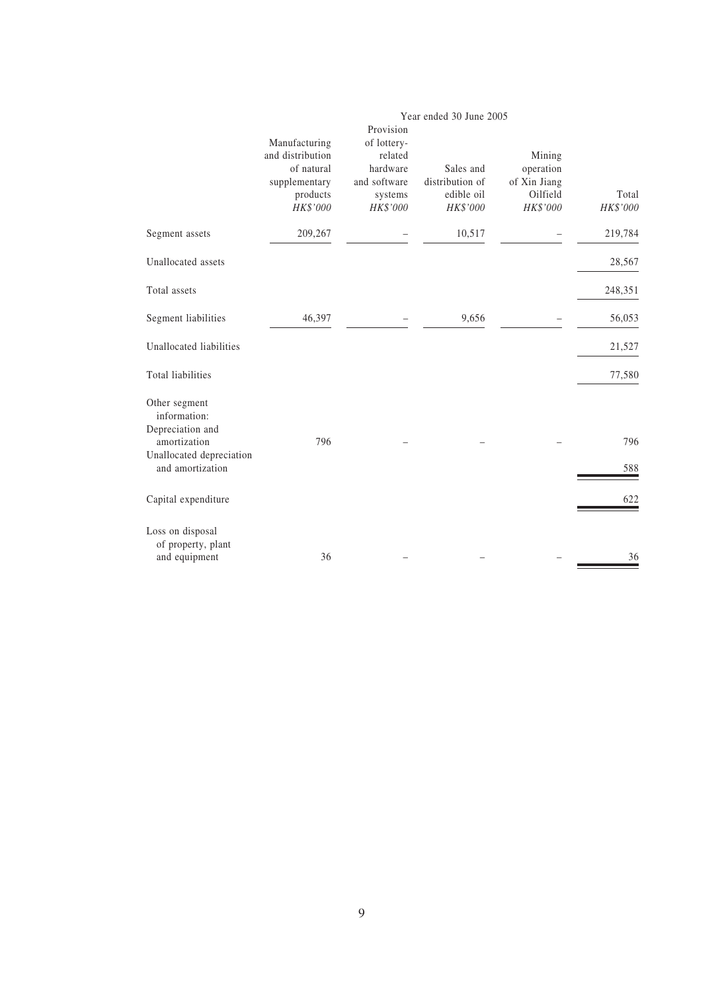|                                                   |                                                                         |                                                            | Year ended 30 June 2005                                |                                                             |                   |
|---------------------------------------------------|-------------------------------------------------------------------------|------------------------------------------------------------|--------------------------------------------------------|-------------------------------------------------------------|-------------------|
|                                                   | Manufacturing                                                           | Provision<br>of lottery-                                   |                                                        |                                                             |                   |
|                                                   | and distribution<br>of natural<br>supplementary<br>products<br>HK\$'000 | related<br>hardware<br>and software<br>systems<br>HK\$'000 | Sales and<br>distribution of<br>edible oil<br>HK\$'000 | Mining<br>operation<br>of Xin Jiang<br>Oilfield<br>HK\$'000 | Total<br>HK\$'000 |
| Segment assets                                    | 209,267                                                                 |                                                            | 10,517                                                 |                                                             | 219,784           |
| Unallocated assets                                |                                                                         |                                                            |                                                        |                                                             | 28,567            |
| Total assets                                      |                                                                         |                                                            |                                                        |                                                             | 248,351           |
| Segment liabilities                               | 46,397                                                                  |                                                            | 9,656                                                  |                                                             | 56,053            |
| Unallocated liabilities                           |                                                                         |                                                            |                                                        |                                                             | 21,527            |
| Total liabilities                                 |                                                                         |                                                            |                                                        |                                                             | 77,580            |
| Other segment<br>information:<br>Depreciation and |                                                                         |                                                            |                                                        |                                                             |                   |
| amortization                                      | 796                                                                     |                                                            |                                                        |                                                             | 796               |
| Unallocated depreciation<br>and amortization      |                                                                         |                                                            |                                                        |                                                             | 588               |
| Capital expenditure                               |                                                                         |                                                            |                                                        |                                                             | 622               |
| Loss on disposal<br>of property, plant            |                                                                         |                                                            |                                                        |                                                             |                   |
| and equipment                                     | 36                                                                      |                                                            |                                                        |                                                             | 36                |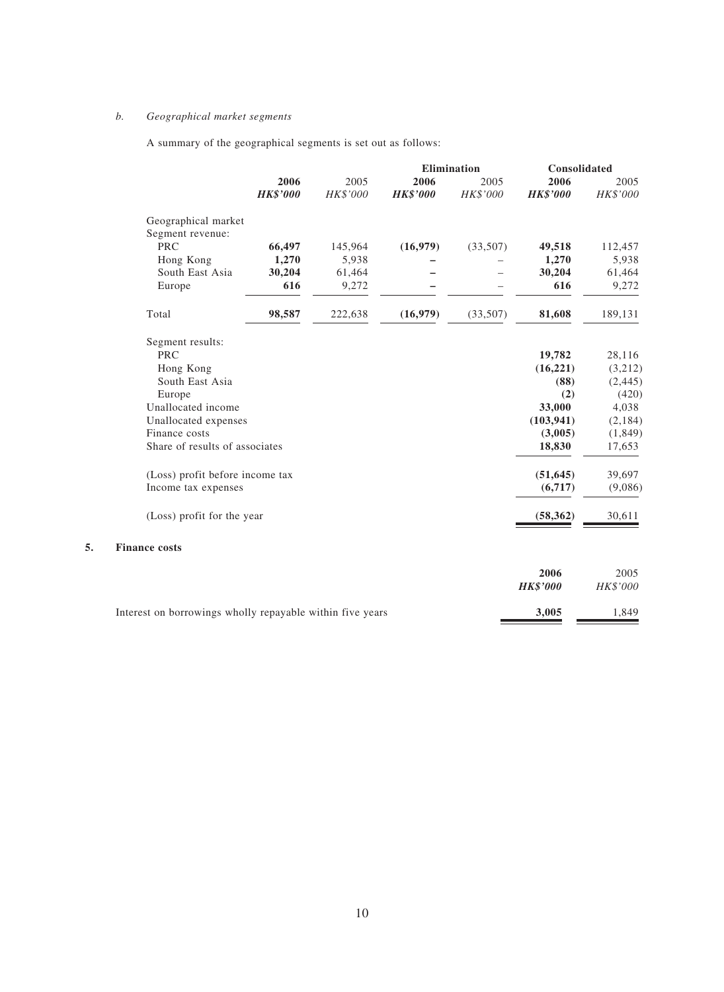### *b. Geographical market segments*

A summary of the geographical segments is set out as follows:

|    |                                 |                         |                  |                         | Elimination      | Consolidated            |                  |
|----|---------------------------------|-------------------------|------------------|-------------------------|------------------|-------------------------|------------------|
|    |                                 | 2006<br><b>HK\$'000</b> | 2005<br>HK\$'000 | 2006<br><b>HK\$'000</b> | 2005<br>HK\$'000 | 2006<br><b>HK\$'000</b> | 2005<br>HK\$'000 |
|    | Geographical market             |                         |                  |                         |                  |                         |                  |
|    | Segment revenue:                |                         |                  |                         |                  |                         |                  |
|    | <b>PRC</b>                      | 66,497                  | 145,964          | (16,979)                | (33,507)         | 49,518                  | 112,457          |
|    | Hong Kong                       | 1,270                   | 5,938            |                         |                  | 1,270                   | 5,938            |
|    | South East Asia                 | 30,204                  | 61,464           |                         |                  | 30,204                  | 61,464           |
|    | Europe                          | 616                     | 9,272            |                         |                  | 616                     | 9,272            |
|    | Total                           | 98,587                  | 222,638          | (16,979)                | (33,507)         | 81,608                  | 189,131          |
|    | Segment results:                |                         |                  |                         |                  |                         |                  |
|    | <b>PRC</b>                      |                         |                  |                         |                  | 19,782                  | 28,116           |
|    | Hong Kong                       |                         |                  |                         |                  | (16, 221)               | (3,212)          |
|    | South East Asia                 |                         |                  |                         |                  | (88)                    | (2, 445)         |
|    | Europe                          |                         |                  |                         |                  | (2)                     | (420)            |
|    | Unallocated income              |                         |                  |                         |                  | 33,000                  | 4,038            |
|    | Unallocated expenses            |                         |                  |                         |                  | (103, 941)              | (2, 184)         |
|    | Finance costs                   |                         |                  |                         |                  | (3,005)                 | (1, 849)         |
|    | Share of results of associates  |                         |                  |                         |                  | 18,830                  | 17,653           |
|    | (Loss) profit before income tax |                         |                  |                         |                  | (51, 645)               | 39,697           |
|    | Income tax expenses             |                         |                  |                         |                  | (6,717)                 | (9,086)          |
|    | (Loss) profit for the year      |                         |                  |                         |                  | (58, 362)               | 30,611           |
| 5. | <b>Finance costs</b>            |                         |                  |                         |                  |                         |                  |
|    |                                 |                         |                  |                         |                  | 2006                    | 2005             |
|    |                                 |                         |                  |                         |                  | <b>HK\$'000</b>         | HK\$'000         |

Interest on borrowings wholly repayable within five years **3,005** 1,849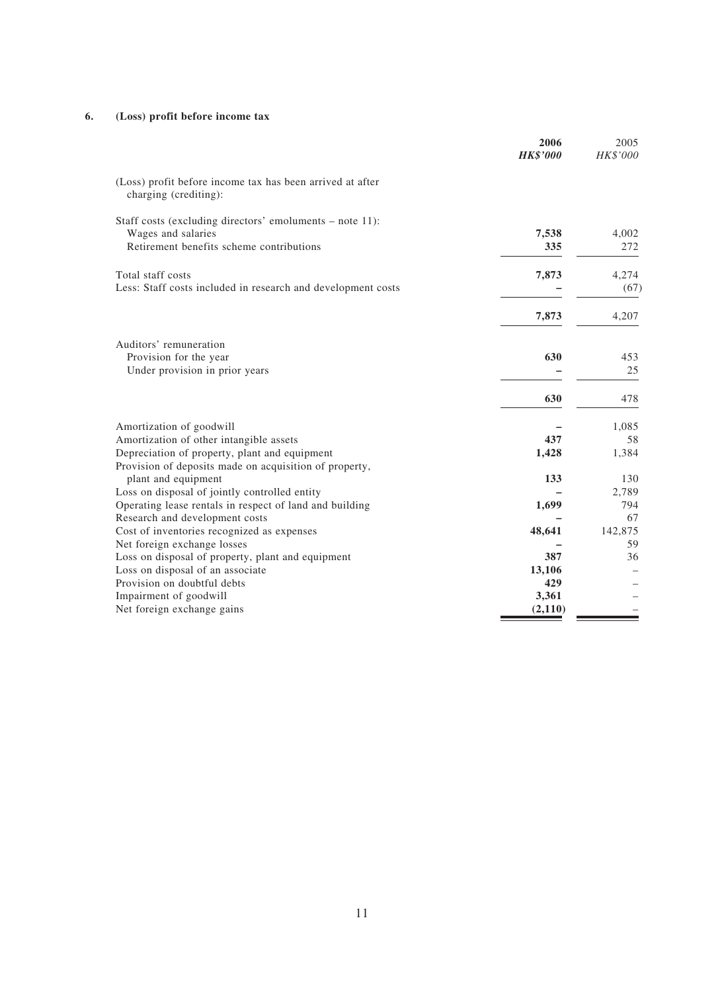#### **6. (Loss) profit before income tax**

|                                                                                    | 2006<br><b>HK\$'000</b> | 2005<br>HK\$'000 |
|------------------------------------------------------------------------------------|-------------------------|------------------|
| (Loss) profit before income tax has been arrived at after<br>charging (crediting): |                         |                  |
| Staff costs (excluding directors' emoluments – note 11):                           |                         |                  |
| Wages and salaries                                                                 | 7,538                   | 4,002            |
| Retirement benefits scheme contributions                                           | 335                     | 272              |
| Total staff costs                                                                  | 7,873                   | 4,274            |
| Less: Staff costs included in research and development costs                       |                         | (67)             |
|                                                                                    | 7,873                   | 4,207            |
| Auditors' remuneration                                                             |                         |                  |
| Provision for the year                                                             | 630                     | 453              |
| Under provision in prior years                                                     |                         | 25               |
|                                                                                    | 630                     | 478              |
| Amortization of goodwill                                                           |                         | 1,085            |
| Amortization of other intangible assets                                            | 437                     | 58               |
| Depreciation of property, plant and equipment                                      | 1,428                   | 1,384            |
| Provision of deposits made on acquisition of property,                             |                         |                  |
| plant and equipment                                                                | 133                     | 130              |
| Loss on disposal of jointly controlled entity                                      |                         | 2,789            |
| Operating lease rentals in respect of land and building                            | 1,699                   | 794              |
| Research and development costs                                                     |                         | 67               |
| Cost of inventories recognized as expenses                                         | 48,641                  | 142,875          |
| Net foreign exchange losses                                                        |                         | 59               |
| Loss on disposal of property, plant and equipment                                  | 387                     | 36               |
| Loss on disposal of an associate                                                   | 13,106                  |                  |
| Provision on doubtful debts                                                        | 429                     |                  |
| Impairment of goodwill                                                             | 3,361                   |                  |
| Net foreign exchange gains                                                         | (2,110)                 |                  |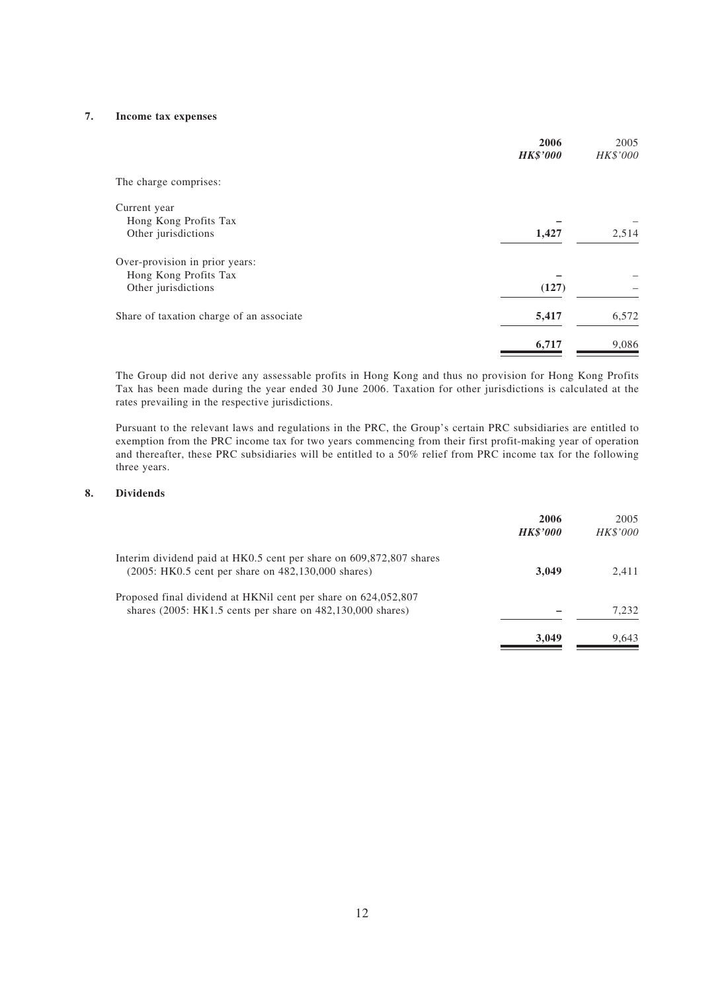#### **7. Income tax expenses**

|                                          | 2006<br><b>HK\$'000</b> | 2005<br>HK\$'000 |
|------------------------------------------|-------------------------|------------------|
|                                          |                         |                  |
| The charge comprises:                    |                         |                  |
| Current year                             |                         |                  |
| Hong Kong Profits Tax                    |                         |                  |
| Other jurisdictions                      | 1,427                   | 2,514            |
| Over-provision in prior years:           |                         |                  |
| Hong Kong Profits Tax                    |                         |                  |
| Other jurisdictions                      | (127)                   |                  |
| Share of taxation charge of an associate | 5,417                   | 6,572            |
|                                          | 6,717                   | 9,086            |

The Group did not derive any assessable profits in Hong Kong and thus no provision for Hong Kong Profits Tax has been made during the year ended 30 June 2006. Taxation for other jurisdictions is calculated at the rates prevailing in the respective jurisdictions.

Pursuant to the relevant laws and regulations in the PRC, the Group's certain PRC subsidiaries are entitled to exemption from the PRC income tax for two years commencing from their first profit-making year of operation and thereafter, these PRC subsidiaries will be entitled to a 50% relief from PRC income tax for the following three years.

#### **8. Dividends**

|                                                                                                                              | 2006<br><b>HK\$'000</b> | 2005<br><b>HK\$'000</b> |
|------------------------------------------------------------------------------------------------------------------------------|-------------------------|-------------------------|
| Interim dividend paid at HK0.5 cent per share on 609,872,807 shares<br>(2005: HK0.5 cent per share on 482,130,000 shares)    | 3.049                   | 2.411                   |
| Proposed final dividend at HKNil cent per share on 624,052,807<br>shares (2005: HK1.5 cents per share on 482,130,000 shares) |                         | 7.232                   |
|                                                                                                                              | 3.049                   | 9,643                   |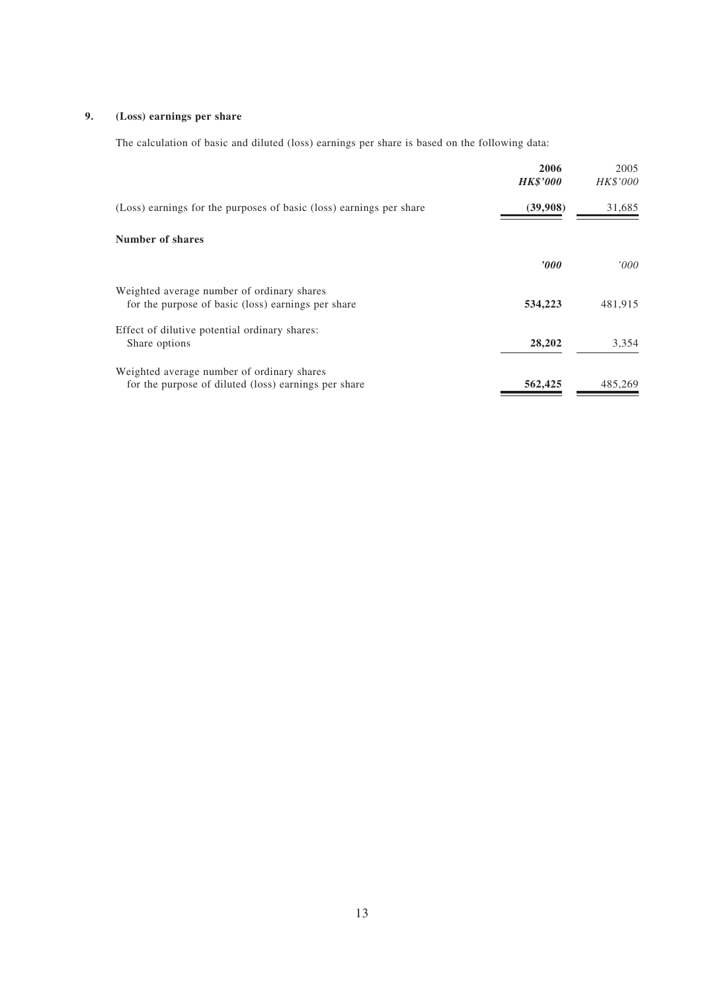### **9. (Loss) earnings per share**

The calculation of basic and diluted (loss) earnings per share is based on the following data:

|                                                                                                    | 2006<br><b>HK\$'000</b> | 2005<br><b>HK\$'000</b> |
|----------------------------------------------------------------------------------------------------|-------------------------|-------------------------|
| (Loss) earnings for the purposes of basic (loss) earnings per share                                | (39,908)                | 31,685                  |
| <b>Number of shares</b>                                                                            |                         |                         |
|                                                                                                    | $\bm{v}$                | '000                    |
| Weighted average number of ordinary shares<br>for the purpose of basic (loss) earnings per share   | 534,223                 | 481,915                 |
| Effect of dilutive potential ordinary shares:<br>Share options                                     | 28,202                  | 3,354                   |
| Weighted average number of ordinary shares<br>for the purpose of diluted (loss) earnings per share | 562,425                 | 485,269                 |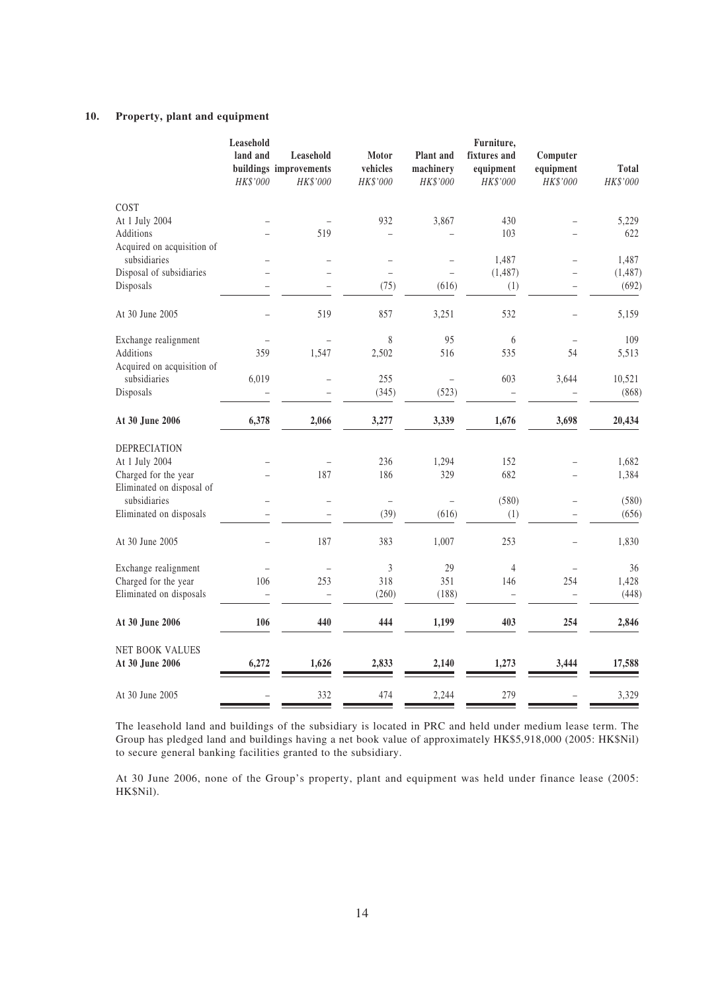### **10. Property, plant and equipment**

|                                    | Leasehold            |                                                 |                               |                                    | Furniture,                            |                                   |                          |
|------------------------------------|----------------------|-------------------------------------------------|-------------------------------|------------------------------------|---------------------------------------|-----------------------------------|--------------------------|
|                                    | land and<br>HK\$'000 | Leasehold<br>buildings improvements<br>HK\$'000 | Motor<br>vehicles<br>HK\$'000 | Plant and<br>machinery<br>HK\$'000 | fixtures and<br>equipment<br>HK\$'000 | Computer<br>equipment<br>HK\$'000 | <b>Total</b><br>HK\$'000 |
| COST                               |                      |                                                 |                               |                                    |                                       |                                   |                          |
| At 1 July 2004                     |                      |                                                 | 932                           | 3,867                              | 430                                   | $\overline{\phantom{0}}$          | 5,229                    |
| Additions                          |                      | 519                                             |                               |                                    | 103                                   |                                   | 622                      |
| Acquired on acquisition of         |                      |                                                 |                               |                                    |                                       |                                   |                          |
| subsidiaries                       |                      |                                                 | $\overline{\phantom{0}}$      |                                    | 1,487                                 | $\qquad \qquad -$                 | 1,487                    |
| Disposal of subsidiaries           |                      |                                                 |                               |                                    | (1,487)                               |                                   | (1, 487)                 |
| Disposals                          |                      |                                                 | (75)                          | (616)                              | (1)                                   |                                   | (692)                    |
| At 30 June 2005                    |                      | 519                                             | 857                           | 3,251                              | 532                                   |                                   | 5,159                    |
| Exchange realignment               |                      |                                                 | 8                             | 95                                 | 6                                     |                                   | 109                      |
| Additions                          | 359                  | 1,547                                           | 2,502                         | 516                                | 535                                   | 54                                | 5,513                    |
| Acquired on acquisition of         |                      |                                                 |                               |                                    |                                       |                                   |                          |
| subsidiaries                       | 6,019                | ÷,                                              | 255                           |                                    | 603                                   | 3,644                             | 10,521                   |
| Disposals                          |                      |                                                 | (345)                         | (523)                              |                                       |                                   | (868)                    |
| At 30 June 2006                    | 6,378                | 2,066                                           | 3,277                         | 3,339                              | 1,676                                 | 3,698                             | 20,434                   |
| <b>DEPRECIATION</b>                |                      |                                                 |                               |                                    |                                       |                                   |                          |
| At 1 July 2004                     |                      |                                                 | 236                           | 1,294                              | 152                                   |                                   | 1,682                    |
| Charged for the year               |                      | 187                                             | 186                           | 329                                | 682                                   |                                   | 1,384                    |
| Eliminated on disposal of          |                      |                                                 |                               |                                    |                                       |                                   |                          |
| subsidiaries                       |                      | $\overline{\phantom{0}}$                        | $\qquad \qquad -$             |                                    | (580)                                 | $\overline{\phantom{0}}$          | (580)                    |
| Eliminated on disposals            |                      |                                                 | (39)                          | (616)                              | (1)                                   |                                   | (656)                    |
| At 30 June 2005                    |                      | 187                                             | 383                           | 1,007                              | 253                                   |                                   | 1,830                    |
| Exchange realignment               |                      | $\overline{\phantom{0}}$                        | $\mathfrak{Z}$                | 29                                 | 4                                     |                                   | 36                       |
| Charged for the year               | 106                  | 253                                             | 318                           | 351                                | 146                                   | 254                               | 1,428                    |
| Eliminated on disposals            |                      | ÷                                               | (260)                         | (188)                              |                                       |                                   | (448)                    |
| At 30 June 2006                    | 106                  | 440                                             | 444                           | 1,199                              | 403                                   | 254                               | 2,846                    |
| NET BOOK VALUES<br>At 30 June 2006 | 6,272                | 1,626                                           | 2,833                         | 2,140                              | 1,273                                 | 3,444                             | 17,588                   |
| At 30 June 2005                    |                      | 332                                             | 474                           | 2,244                              | 279                                   |                                   | 3,329                    |
|                                    |                      |                                                 |                               |                                    |                                       |                                   |                          |

The leasehold land and buildings of the subsidiary is located in PRC and held under medium lease term. The Group has pledged land and buildings having a net book value of approximately HK\$5,918,000 (2005: HK\$Nil) to secure general banking facilities granted to the subsidiary.

At 30 June 2006, none of the Group's property, plant and equipment was held under finance lease (2005: HK\$Nil).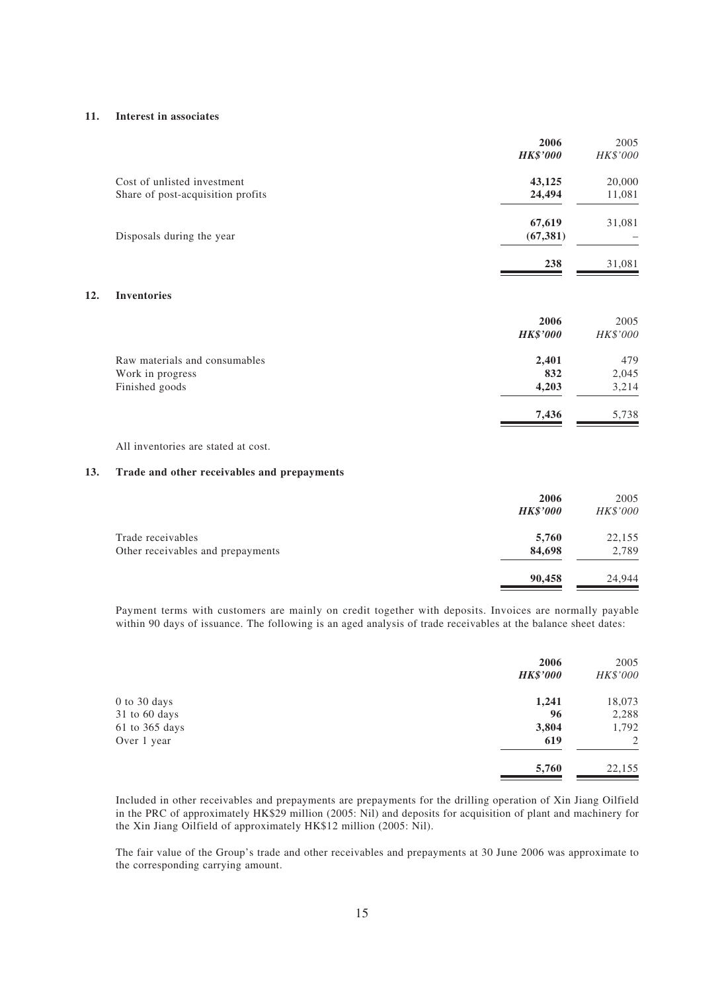#### **11. Interest in associates**

**12.** 

|                                   | 2006<br><b>HK\$'000</b> | 2005<br>HK\$'000 |
|-----------------------------------|-------------------------|------------------|
| Cost of unlisted investment       | 43,125                  | 20,000           |
| Share of post-acquisition profits | 24,494                  | 11,081           |
|                                   | 67,619                  | 31,081           |
| Disposals during the year         | (67, 381)               |                  |
|                                   | 238                     | 31,081           |
| <b>Inventories</b>                |                         |                  |

|                               | 2006<br><b>HK\$'000</b> | 2005<br>HK\$'000 |
|-------------------------------|-------------------------|------------------|
| Raw materials and consumables | 2,401                   | 479              |
| Work in progress              | 832                     | 2,045            |
| Finished goods                | 4,203                   | 3,214            |
|                               | 7,436                   | 5,738            |

All inventories are stated at cost.

#### **13. Trade and other receivables and prepayments**

|                                   | 2006            | 2005     |
|-----------------------------------|-----------------|----------|
|                                   | <b>HK\$'000</b> | HK\$'000 |
| Trade receivables                 | 5,760           | 22,155   |
| Other receivables and prepayments | 84,698          | 2,789    |
|                                   | 90,458          | 24.944   |

Payment terms with customers are mainly on credit together with deposits. Invoices are normally payable within 90 days of issuance. The following is an aged analysis of trade receivables at the balance sheet dates:

|                | 2006<br><b>HK\$'000</b> | 2005<br>HK\$'000 |
|----------------|-------------------------|------------------|
| 0 to 30 days   | 1,241                   | 18,073           |
| 31 to 60 days  | 96                      | 2,288            |
| 61 to 365 days | 3,804                   | 1,792            |
| Over 1 year    | 619                     | 2                |
|                | 5,760                   | 22,155           |

Included in other receivables and prepayments are prepayments for the drilling operation of Xin Jiang Oilfield in the PRC of approximately HK\$29 million (2005: Nil) and deposits for acquisition of plant and machinery for the Xin Jiang Oilfield of approximately HK\$12 million (2005: Nil).

The fair value of the Group's trade and other receivables and prepayments at 30 June 2006 was approximate to the corresponding carrying amount.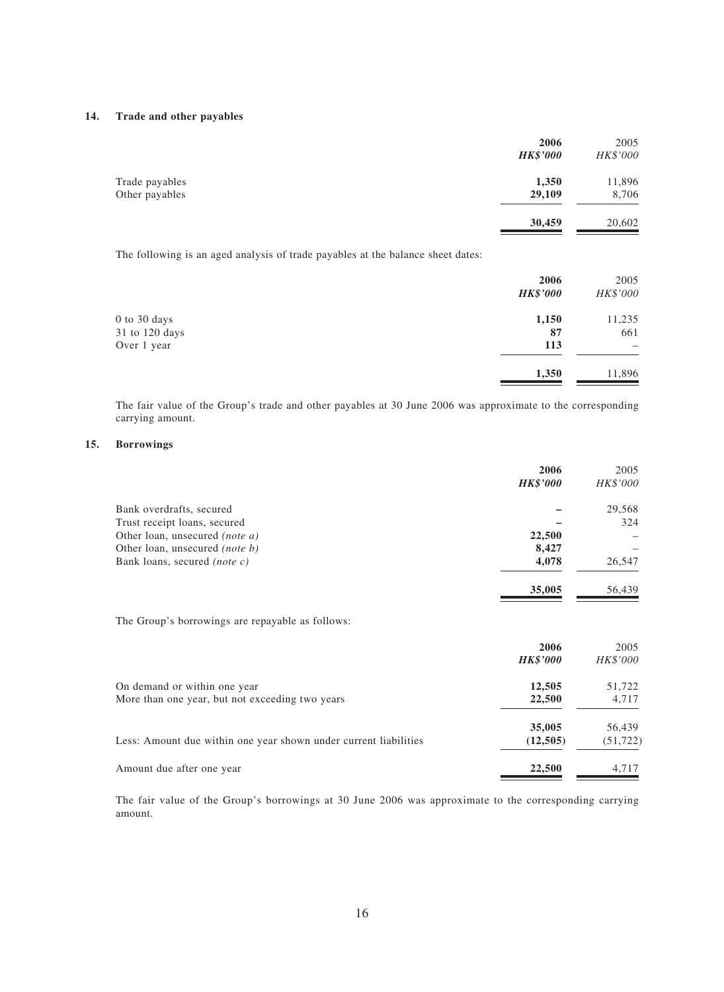#### **14. Trade and other payables**

|                                  | 2006<br><b>HK\$'000</b> | 2005<br>HK\$'000 |
|----------------------------------|-------------------------|------------------|
| Trade payables<br>Other payables | 1,350<br>29,109         | 11,896<br>8,706  |
|                                  | 30,459                  | 20,602           |

The following is an aged analysis of trade payables at the balance sheet dates:

|                | 2006            | 2005                     |
|----------------|-----------------|--------------------------|
|                | <b>HK\$'000</b> | HK\$'000                 |
| 0 to 30 days   | 1,150           | 11,235                   |
| 31 to 120 days | 87              | 661                      |
| Over 1 year    | 113             | $\overline{\phantom{0}}$ |
|                | 1,350           | 11,896                   |

The fair value of the Group's trade and other payables at 30 June 2006 was approximate to the corresponding carrying amount.

#### **15. Borrowings**

|                                       | 2006            | 2005     |
|---------------------------------------|-----------------|----------|
|                                       | <b>HK\$'000</b> | HK\$'000 |
| Bank overdrafts, secured              |                 | 29,568   |
| Trust receipt loans, secured          |                 | 324      |
| Other loan, unsecured <i>(note a)</i> | 22,500          |          |
| Other loan, unsecured <i>(note b)</i> | 8,427           |          |
| Bank loans, secured <i>(note c)</i>   | 4,078           | 26,547   |
|                                       | 35,005          | 56,439   |
|                                       |                 |          |

The Group's borrowings are repayable as follows:

|                                                                  | 2006            | 2005      |
|------------------------------------------------------------------|-----------------|-----------|
|                                                                  | <b>HK\$'000</b> | HK\$'000  |
| On demand or within one year                                     | 12,505          | 51,722    |
| More than one year, but not exceeding two years                  | 22,500          | 4,717     |
|                                                                  | 35,005          | 56,439    |
| Less: Amount due within one year shown under current liabilities | (12,505)        | (51, 722) |
| Amount due after one year                                        | 22,500          | 4.717     |

The fair value of the Group's borrowings at 30 June 2006 was approximate to the corresponding carrying amount.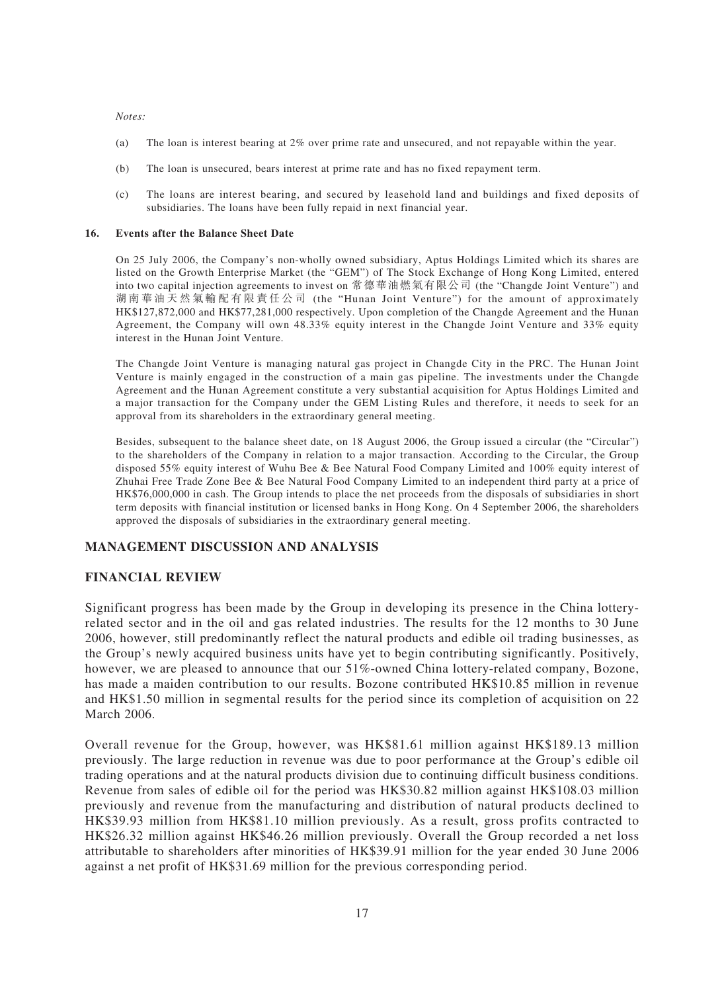#### *Notes:*

- (a) The loan is interest bearing at 2% over prime rate and unsecured, and not repayable within the year.
- (b) The loan is unsecured, bears interest at prime rate and has no fixed repayment term.
- (c) The loans are interest bearing, and secured by leasehold land and buildings and fixed deposits of subsidiaries. The loans have been fully repaid in next financial year.

#### **16. Events after the Balance Sheet Date**

On 25 July 2006, the Company's non-wholly owned subsidiary, Aptus Holdings Limited which its shares are listed on the Growth Enterprise Market (the "GEM") of The Stock Exchange of Hong Kong Limited, entered into two capital injection agreements to invest on 常德華油燃氣有限公司 (the "Changde Joint Venture") and 湖南華油天然氣輸配有限責任公司 (the "Hunan Joint Venture") for the amount of approximately HK\$127,872,000 and HK\$77,281,000 respectively. Upon completion of the Changde Agreement and the Hunan Agreement, the Company will own 48.33% equity interest in the Changde Joint Venture and 33% equity interest in the Hunan Joint Venture.

The Changde Joint Venture is managing natural gas project in Changde City in the PRC. The Hunan Joint Venture is mainly engaged in the construction of a main gas pipeline. The investments under the Changde Agreement and the Hunan Agreement constitute a very substantial acquisition for Aptus Holdings Limited and a major transaction for the Company under the GEM Listing Rules and therefore, it needs to seek for an approval from its shareholders in the extraordinary general meeting.

Besides, subsequent to the balance sheet date, on 18 August 2006, the Group issued a circular (the "Circular") to the shareholders of the Company in relation to a major transaction. According to the Circular, the Group disposed 55% equity interest of Wuhu Bee & Bee Natural Food Company Limited and 100% equity interest of Zhuhai Free Trade Zone Bee & Bee Natural Food Company Limited to an independent third party at a price of HK\$76,000,000 in cash. The Group intends to place the net proceeds from the disposals of subsidiaries in short term deposits with financial institution or licensed banks in Hong Kong. On 4 September 2006, the shareholders approved the disposals of subsidiaries in the extraordinary general meeting.

# **MANAGEMENT DISCUSSION AND ANALYSIS**

### **FINANCIAL REVIEW**

Significant progress has been made by the Group in developing its presence in the China lotteryrelated sector and in the oil and gas related industries. The results for the 12 months to 30 June 2006, however, still predominantly reflect the natural products and edible oil trading businesses, as the Group's newly acquired business units have yet to begin contributing significantly. Positively, however, we are pleased to announce that our 51%-owned China lottery-related company, Bozone, has made a maiden contribution to our results. Bozone contributed HK\$10.85 million in revenue and HK\$1.50 million in segmental results for the period since its completion of acquisition on 22 March 2006.

Overall revenue for the Group, however, was HK\$81.61 million against HK\$189.13 million previously. The large reduction in revenue was due to poor performance at the Group's edible oil trading operations and at the natural products division due to continuing difficult business conditions. Revenue from sales of edible oil for the period was HK\$30.82 million against HK\$108.03 million previously and revenue from the manufacturing and distribution of natural products declined to HK\$39.93 million from HK\$81.10 million previously. As a result, gross profits contracted to HK\$26.32 million against HK\$46.26 million previously. Overall the Group recorded a net loss attributable to shareholders after minorities of HK\$39.91 million for the year ended 30 June 2006 against a net profit of HK\$31.69 million for the previous corresponding period.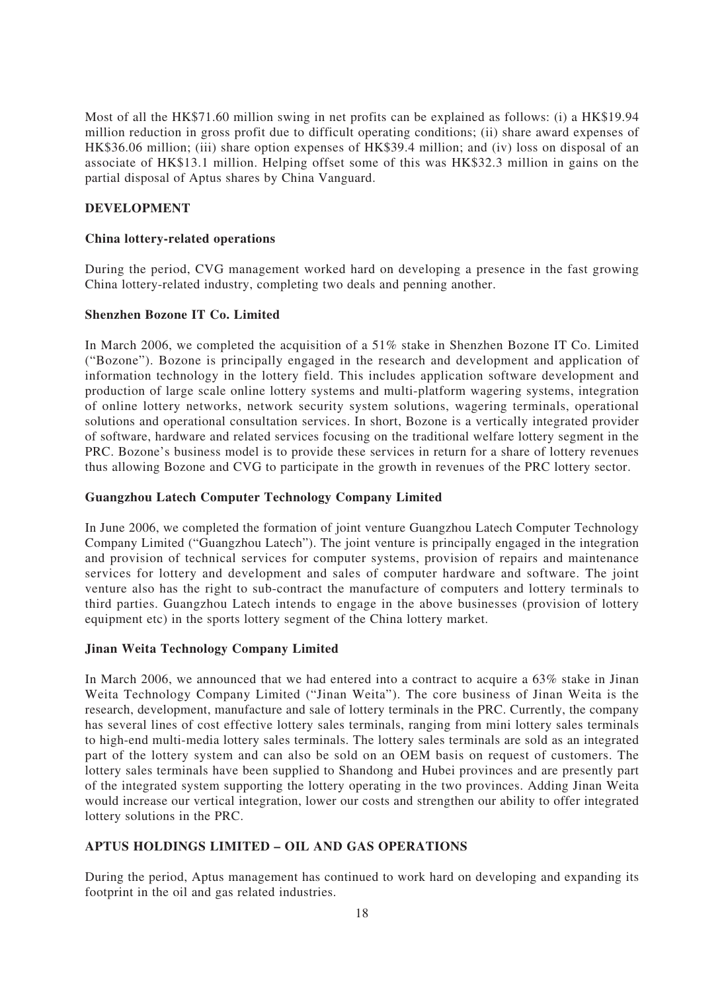Most of all the HK\$71.60 million swing in net profits can be explained as follows: (i) a HK\$19.94 million reduction in gross profit due to difficult operating conditions; (ii) share award expenses of HK\$36.06 million; (iii) share option expenses of HK\$39.4 million; and (iv) loss on disposal of an associate of HK\$13.1 million. Helping offset some of this was HK\$32.3 million in gains on the partial disposal of Aptus shares by China Vanguard.

# **DEVELOPMENT**

### **China lottery-related operations**

During the period, CVG management worked hard on developing a presence in the fast growing China lottery-related industry, completing two deals and penning another.

### **Shenzhen Bozone IT Co. Limited**

In March 2006, we completed the acquisition of a 51% stake in Shenzhen Bozone IT Co. Limited ("Bozone"). Bozone is principally engaged in the research and development and application of information technology in the lottery field. This includes application software development and production of large scale online lottery systems and multi-platform wagering systems, integration of online lottery networks, network security system solutions, wagering terminals, operational solutions and operational consultation services. In short, Bozone is a vertically integrated provider of software, hardware and related services focusing on the traditional welfare lottery segment in the PRC. Bozone's business model is to provide these services in return for a share of lottery revenues thus allowing Bozone and CVG to participate in the growth in revenues of the PRC lottery sector.

# **Guangzhou Latech Computer Technology Company Limited**

In June 2006, we completed the formation of joint venture Guangzhou Latech Computer Technology Company Limited ("Guangzhou Latech"). The joint venture is principally engaged in the integration and provision of technical services for computer systems, provision of repairs and maintenance services for lottery and development and sales of computer hardware and software. The joint venture also has the right to sub-contract the manufacture of computers and lottery terminals to third parties. Guangzhou Latech intends to engage in the above businesses (provision of lottery equipment etc) in the sports lottery segment of the China lottery market.

# **Jinan Weita Technology Company Limited**

In March 2006, we announced that we had entered into a contract to acquire a 63% stake in Jinan Weita Technology Company Limited ("Jinan Weita"). The core business of Jinan Weita is the research, development, manufacture and sale of lottery terminals in the PRC. Currently, the company has several lines of cost effective lottery sales terminals, ranging from mini lottery sales terminals to high-end multi-media lottery sales terminals. The lottery sales terminals are sold as an integrated part of the lottery system and can also be sold on an OEM basis on request of customers. The lottery sales terminals have been supplied to Shandong and Hubei provinces and are presently part of the integrated system supporting the lottery operating in the two provinces. Adding Jinan Weita would increase our vertical integration, lower our costs and strengthen our ability to offer integrated lottery solutions in the PRC.

# **APTUS HOLDINGS LIMITED – OIL AND GAS OPERATIONS**

During the period, Aptus management has continued to work hard on developing and expanding its footprint in the oil and gas related industries.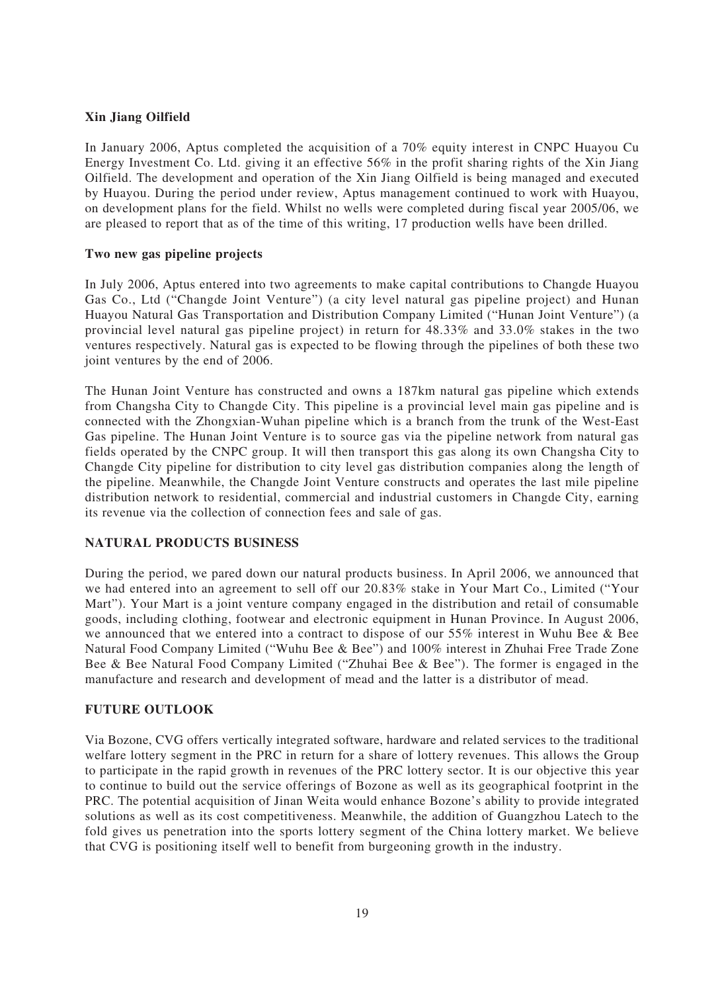# **Xin Jiang Oilfield**

In January 2006, Aptus completed the acquisition of a 70% equity interest in CNPC Huayou Cu Energy Investment Co. Ltd. giving it an effective 56% in the profit sharing rights of the Xin Jiang Oilfield. The development and operation of the Xin Jiang Oilfield is being managed and executed by Huayou. During the period under review, Aptus management continued to work with Huayou, on development plans for the field. Whilst no wells were completed during fiscal year 2005/06, we are pleased to report that as of the time of this writing, 17 production wells have been drilled.

# **Two new gas pipeline projects**

In July 2006, Aptus entered into two agreements to make capital contributions to Changde Huayou Gas Co., Ltd ("Changde Joint Venture") (a city level natural gas pipeline project) and Hunan Huayou Natural Gas Transportation and Distribution Company Limited ("Hunan Joint Venture") (a provincial level natural gas pipeline project) in return for 48.33% and 33.0% stakes in the two ventures respectively. Natural gas is expected to be flowing through the pipelines of both these two joint ventures by the end of 2006.

The Hunan Joint Venture has constructed and owns a 187km natural gas pipeline which extends from Changsha City to Changde City. This pipeline is a provincial level main gas pipeline and is connected with the Zhongxian-Wuhan pipeline which is a branch from the trunk of the West-East Gas pipeline. The Hunan Joint Venture is to source gas via the pipeline network from natural gas fields operated by the CNPC group. It will then transport this gas along its own Changsha City to Changde City pipeline for distribution to city level gas distribution companies along the length of the pipeline. Meanwhile, the Changde Joint Venture constructs and operates the last mile pipeline distribution network to residential, commercial and industrial customers in Changde City, earning its revenue via the collection of connection fees and sale of gas.

# **NATURAL PRODUCTS BUSINESS**

During the period, we pared down our natural products business. In April 2006, we announced that we had entered into an agreement to sell off our 20.83% stake in Your Mart Co., Limited ("Your Mart"). Your Mart is a joint venture company engaged in the distribution and retail of consumable goods, including clothing, footwear and electronic equipment in Hunan Province. In August 2006, we announced that we entered into a contract to dispose of our 55% interest in Wuhu Bee & Bee Natural Food Company Limited ("Wuhu Bee & Bee") and 100% interest in Zhuhai Free Trade Zone Bee & Bee Natural Food Company Limited ("Zhuhai Bee & Bee"). The former is engaged in the manufacture and research and development of mead and the latter is a distributor of mead.

# **FUTURE OUTLOOK**

Via Bozone, CVG offers vertically integrated software, hardware and related services to the traditional welfare lottery segment in the PRC in return for a share of lottery revenues. This allows the Group to participate in the rapid growth in revenues of the PRC lottery sector. It is our objective this year to continue to build out the service offerings of Bozone as well as its geographical footprint in the PRC. The potential acquisition of Jinan Weita would enhance Bozone's ability to provide integrated solutions as well as its cost competitiveness. Meanwhile, the addition of Guangzhou Latech to the fold gives us penetration into the sports lottery segment of the China lottery market. We believe that CVG is positioning itself well to benefit from burgeoning growth in the industry.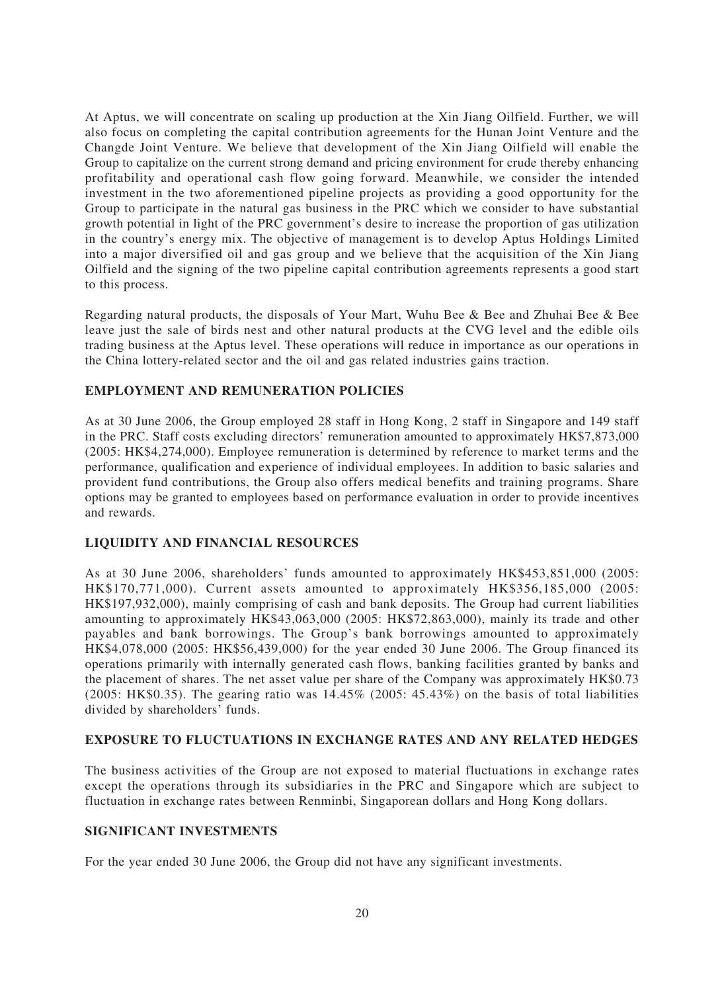At Aptus, we will concentrate on scaling up production at the Xin Jiang Oilfield. Further, we will also focus on completing the capital contribution agreements for the Hunan Joint Venture and the Changde Joint Venture. We believe that development of the Xin Jiang Oilfield will enable the Group to capitalize on the current strong demand and pricing environment for crude thereby enhancing profitability and operational cash flow going forward. Meanwhile, we consider the intended investment in the two aforementioned pipeline projects as providing a good opportunity for the Group to participate in the natural gas business in the PRC which we consider to have substantial growth potential in light of the PRC government's desire to increase the proportion of gas utilization in the country's energy mix. The objective of management is to develop Aptus Holdings Limited into a major diversified oil and gas group and we believe that the acquisition of the Xin Jiang Oilfield and the signing of the two pipeline capital contribution agreements represents a good start to this process.

Regarding natural products, the disposals of Your Mart, Wuhu Bee & Bee and Zhuhai Bee & Bee leave just the sale of birds nest and other natural products at the CVG level and the edible oils trading business at the Aptus level. These operations will reduce in importance as our operations in the China lottery-related sector and the oil and gas related industries gains traction.

# **EMPLOYMENT AND REMUNERATION POLICIES**

As at 30 June 2006, the Group employed 28 staff in Hong Kong, 2 staff in Singapore and 149 staff in the PRC. Staff costs excluding directors' remuneration amounted to approximately HK\$7,873,000 (2005: HK\$4,274,000). Employee remuneration is determined by reference to market terms and the performance, qualification and experience of individual employees. In addition to basic salaries and provident fund contributions, the Group also offers medical benefits and training programs. Share options may be granted to employees based on performance evaluation in order to provide incentives and rewards.

# **LIQUIDITY AND FINANCIAL RESOURCES**

As at 30 June 2006, shareholders' funds amounted to approximately HK\$453,851,000 (2005: HK\$170,771,000). Current assets amounted to approximately HK\$356,185,000 (2005: HK\$197,932,000), mainly comprising of cash and bank deposits. The Group had current liabilities amounting to approximately HK\$43,063,000 (2005: HK\$72,863,000), mainly its trade and other payables and bank borrowings. The Group's bank borrowings amounted to approximately HK\$4,078,000 (2005: HK\$56,439,000) for the year ended 30 June 2006. The Group financed its operations primarily with internally generated cash flows, banking facilities granted by banks and the placement of shares. The net asset value per share of the Company was approximately HK\$0.73 (2005: HK\$0.35). The gearing ratio was 14.45% (2005: 45.43%) on the basis of total liabilities divided by shareholders' funds.

# **EXPOSURE TO FLUCTUATIONS IN EXCHANGE RATES AND ANY RELATED HEDGES**

The business activities of the Group are not exposed to material fluctuations in exchange rates except the operations through its subsidiaries in the PRC and Singapore which are subject to fluctuation in exchange rates between Renminbi, Singaporean dollars and Hong Kong dollars.

# **SIGNIFICANT INVESTMENTS**

For the year ended 30 June 2006, the Group did not have any significant investments.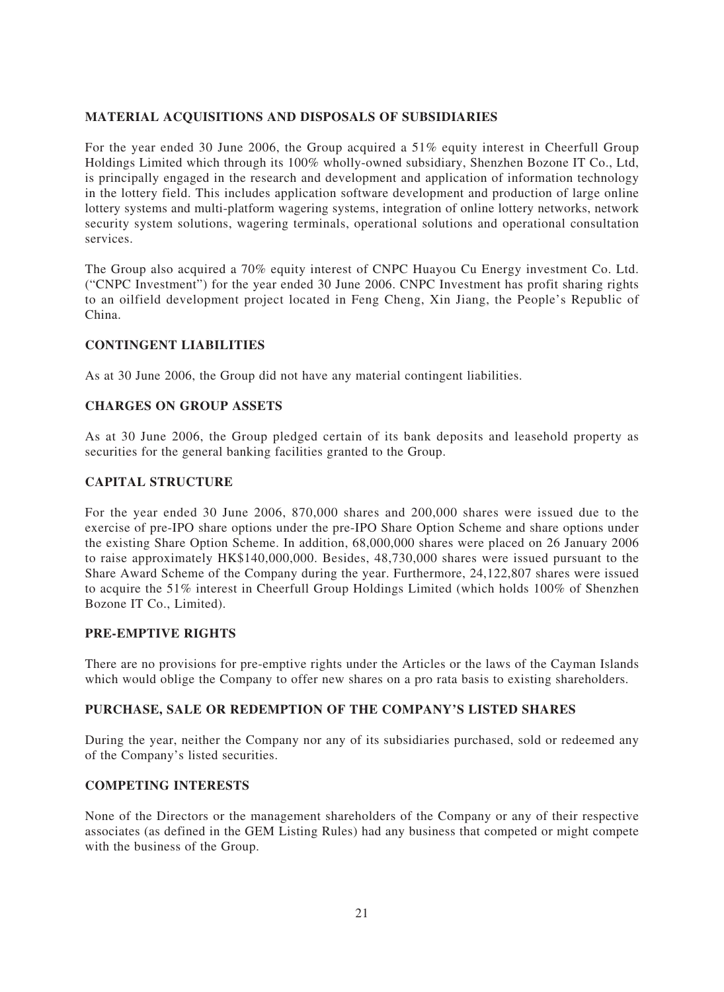# **MATERIAL ACQUISITIONS AND DISPOSALS OF SUBSIDIARIES**

For the year ended 30 June 2006, the Group acquired a 51% equity interest in Cheerfull Group Holdings Limited which through its 100% wholly-owned subsidiary, Shenzhen Bozone IT Co., Ltd, is principally engaged in the research and development and application of information technology in the lottery field. This includes application software development and production of large online lottery systems and multi-platform wagering systems, integration of online lottery networks, network security system solutions, wagering terminals, operational solutions and operational consultation services.

The Group also acquired a 70% equity interest of CNPC Huayou Cu Energy investment Co. Ltd. ("CNPC Investment") for the year ended 30 June 2006. CNPC Investment has profit sharing rights to an oilfield development project located in Feng Cheng, Xin Jiang, the People's Republic of China.

# **CONTINGENT LIABILITIES**

As at 30 June 2006, the Group did not have any material contingent liabilities.

### **CHARGES ON GROUP ASSETS**

As at 30 June 2006, the Group pledged certain of its bank deposits and leasehold property as securities for the general banking facilities granted to the Group.

### **CAPITAL STRUCTURE**

For the year ended 30 June 2006, 870,000 shares and 200,000 shares were issued due to the exercise of pre-IPO share options under the pre-IPO Share Option Scheme and share options under the existing Share Option Scheme. In addition, 68,000,000 shares were placed on 26 January 2006 to raise approximately HK\$140,000,000. Besides, 48,730,000 shares were issued pursuant to the Share Award Scheme of the Company during the year. Furthermore, 24,122,807 shares were issued to acquire the 51% interest in Cheerfull Group Holdings Limited (which holds 100% of Shenzhen Bozone IT Co., Limited).

### **PRE-EMPTIVE RIGHTS**

There are no provisions for pre-emptive rights under the Articles or the laws of the Cayman Islands which would oblige the Company to offer new shares on a pro rata basis to existing shareholders.

### **PURCHASE, SALE OR REDEMPTION OF THE COMPANY'S LISTED SHARES**

During the year, neither the Company nor any of its subsidiaries purchased, sold or redeemed any of the Company's listed securities.

### **COMPETING INTERESTS**

None of the Directors or the management shareholders of the Company or any of their respective associates (as defined in the GEM Listing Rules) had any business that competed or might compete with the business of the Group.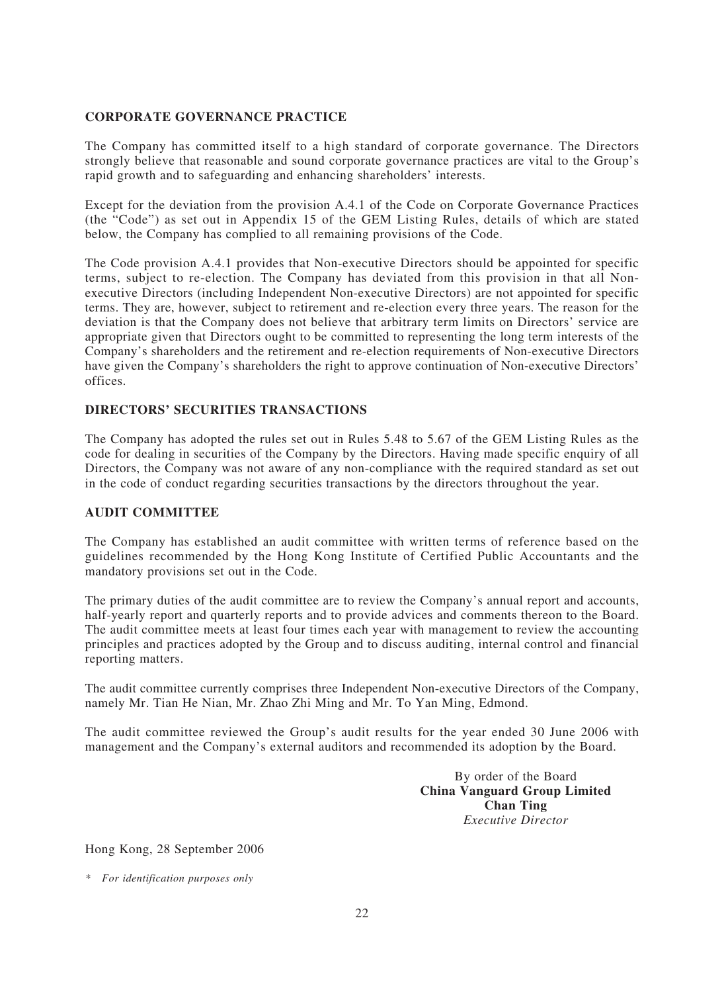# **CORPORATE GOVERNANCE PRACTICE**

The Company has committed itself to a high standard of corporate governance. The Directors strongly believe that reasonable and sound corporate governance practices are vital to the Group's rapid growth and to safeguarding and enhancing shareholders' interests.

Except for the deviation from the provision A.4.1 of the Code on Corporate Governance Practices (the "Code") as set out in Appendix 15 of the GEM Listing Rules, details of which are stated below, the Company has complied to all remaining provisions of the Code.

The Code provision A.4.1 provides that Non-executive Directors should be appointed for specific terms, subject to re-election. The Company has deviated from this provision in that all Nonexecutive Directors (including Independent Non-executive Directors) are not appointed for specific terms. They are, however, subject to retirement and re-election every three years. The reason for the deviation is that the Company does not believe that arbitrary term limits on Directors' service are appropriate given that Directors ought to be committed to representing the long term interests of the Company's shareholders and the retirement and re-election requirements of Non-executive Directors have given the Company's shareholders the right to approve continuation of Non-executive Directors' offices.

# **DIRECTORS' SECURITIES TRANSACTIONS**

The Company has adopted the rules set out in Rules 5.48 to 5.67 of the GEM Listing Rules as the code for dealing in securities of the Company by the Directors. Having made specific enquiry of all Directors, the Company was not aware of any non-compliance with the required standard as set out in the code of conduct regarding securities transactions by the directors throughout the year.

# **AUDIT COMMITTEE**

The Company has established an audit committee with written terms of reference based on the guidelines recommended by the Hong Kong Institute of Certified Public Accountants and the mandatory provisions set out in the Code.

The primary duties of the audit committee are to review the Company's annual report and accounts, half-yearly report and quarterly reports and to provide advices and comments thereon to the Board. The audit committee meets at least four times each year with management to review the accounting principles and practices adopted by the Group and to discuss auditing, internal control and financial reporting matters.

The audit committee currently comprises three Independent Non-executive Directors of the Company, namely Mr. Tian He Nian, Mr. Zhao Zhi Ming and Mr. To Yan Ming, Edmond.

The audit committee reviewed the Group's audit results for the year ended 30 June 2006 with management and the Company's external auditors and recommended its adoption by the Board.

> By order of the Board **China Vanguard Group Limited Chan Ting** *Executive Director*

Hong Kong, 28 September 2006

*\* For identification purposes only*